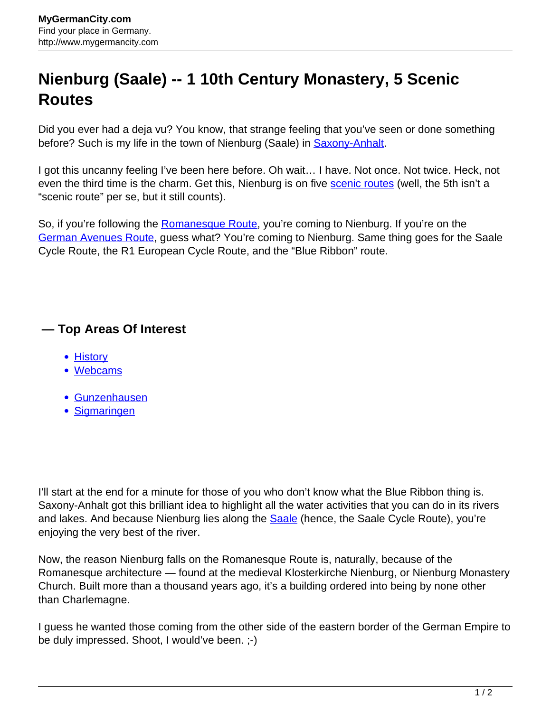## **Nienburg (Saale) -- 1 10th Century Monastery, 5 Scenic Routes**

Did you ever had a deja vu? You know, that strange feeling that you've seen or done something before? Such is my life in the town of Nienburg (Saale) in **Saxony-Anhalt**.

I got this uncanny feeling I've been here before. Oh wait… I have. Not once. Not twice. Heck, not even the third time is the charm. Get this, Nienburg is on five [scenic routes](http://www.mygermancity.com/scenic-routes-germany) (well, the 5th isn't a "scenic route" per se, but it still counts).

So, if you're following the [Romanesque Route,](http://www.mygermancity.com/romanesque-route) you're coming to Nienburg. If you're on the [German Avenues Route](http://www.mygermancity.com/german-avenues-route), guess what? You're coming to Nienburg. Same thing goes for the Saale Cycle Route, the R1 European Cycle Route, and the "Blue Ribbon" route.

## **— Top Areas Of Interest**

- **[History](http://www.mygermancity.com/leipzig-history)**
- [Webcams](http://www.mygermancity.com/neustadt-holstein-webcams)
- [Gunzenhausen](http://www.mygermancity.com/gunzenhausen)
- [Sigmaringen](http://www.mygermancity.com/sigmaringen)

I'll start at the end for a minute for those of you who don't know what the Blue Ribbon thing is. Saxony-Anhalt got this brilliant idea to highlight all the water activities that you can do in its rivers and lakes. And because Nienburg lies along the **Saale** (hence, the [Saale](http://www.mygermancity.com/saale) Cycle Route), you're enjoying the very best of the river.

Now, the reason Nienburg falls on the Romanesque Route is, naturally, because of the Romanesque architecture — found at the medieval Klosterkirche Nienburg, or Nienburg Monastery Church. Built more than a thousand years ago, it's a building ordered into being by none other than Charlemagne.

I guess he wanted those coming from the other side of the eastern border of the German Empire to be duly impressed. Shoot, I would've been. ;-)